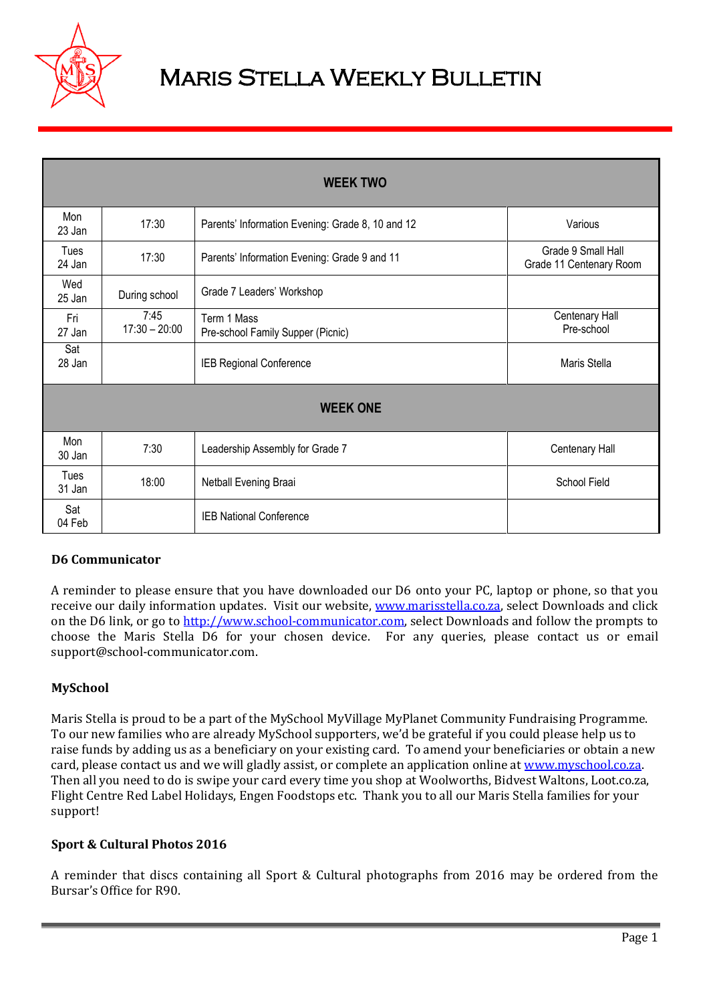

# Maris Stella Weekly Bulletin

| <b>WEEK TWO</b> |                         |                                                  |                                               |
|-----------------|-------------------------|--------------------------------------------------|-----------------------------------------------|
| Mon<br>23 Jan   | 17:30                   | Parents' Information Evening: Grade 8, 10 and 12 | Various                                       |
| Tues<br>24 Jan  | 17:30                   | Parents' Information Evening: Grade 9 and 11     | Grade 9 Small Hall<br>Grade 11 Centenary Room |
| Wed<br>25 Jan   | During school           | Grade 7 Leaders' Workshop                        |                                               |
| Fri<br>27 Jan   | 7:45<br>$17:30 - 20:00$ | Term 1 Mass<br>Pre-school Family Supper (Picnic) | Centenary Hall<br>Pre-school                  |
| Sat<br>28 Jan   |                         | IEB Regional Conference                          | Maris Stella                                  |
| <b>WEEK ONE</b> |                         |                                                  |                                               |
| Mon<br>30 Jan   | 7:30                    | Leadership Assembly for Grade 7                  | Centenary Hall                                |
| Tues<br>31 Jan  | 18:00                   | Netball Evening Braai                            | School Field                                  |
| Sat<br>04 Feb   |                         | <b>IEB National Conference</b>                   |                                               |

## **D6 Communicator**

A reminder to please ensure that you have downloaded our D6 onto your PC, laptop or phone, so that you receive our daily information updates. Visit our website, [www.marisstella.co.za,](http://www.marisstella.co.za/) select Downloads and click on the D6 link, or go to [http://www.school-communicator.com,](http://www.school-communicator.com/) select Downloads and follow the prompts to choose the Maris Stella D6 for your chosen device. For any queries, please contact us or email support@school-communicator.com.

## **MySchool**

Maris Stella is proud to be a part of the MySchool MyVillage MyPlanet Community Fundraising Programme. To our new families who are already MySchool supporters, we'd be grateful if you could please help us to raise funds by adding us as a beneficiary on your existing card. To amend your beneficiaries or obtain a new card, please contact us and we will gladly assist, or complete an application online at [www.myschool.co.za.](http://www.myschool.co.za/) Then all you need to do is swipe your card every time you shop at Woolworths, Bidvest Waltons, Loot.co.za, Flight Centre Red Label Holidays, Engen Foodstops etc. Thank you to all our Maris Stella families for your support!

## **Sport & Cultural Photos 2016**

A reminder that discs containing all Sport & Cultural photographs from 2016 may be ordered from the Bursar's Office for R90.